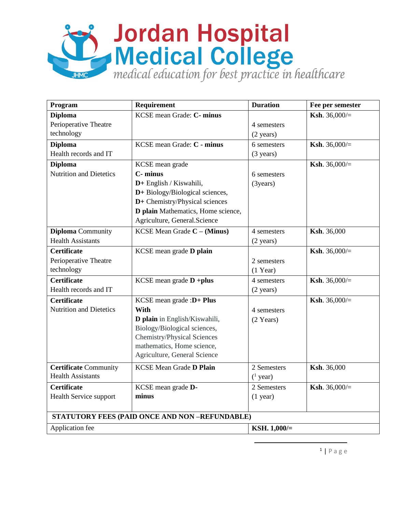## Suite du Rospital<br>Dividical College<br>Realizateducation for best practice in healthcare

| Program                                       | Requirement                        | <b>Duration</b>     | Fee per semester        |
|-----------------------------------------------|------------------------------------|---------------------|-------------------------|
| <b>Diploma</b>                                | KCSE mean Grade: C- minus          |                     | <b>Ksh.</b> 36,000/ $=$ |
| Perioperative Theatre                         |                                    | 4 semesters         |                         |
| technology                                    |                                    | $(2 \text{ years})$ |                         |
| <b>Diploma</b>                                | KCSE mean Grade: C - minus         | 6 semesters         | Ksh. 36,000/=           |
| Health records and IT                         |                                    | $(3 \text{ years})$ |                         |
| <b>Diploma</b>                                | KCSE mean grade                    |                     | <b>Ksh.</b> 36,000/ $=$ |
| <b>Nutrition and Dietetics</b>                | C- minus                           | 6 semesters         |                         |
|                                               | D+ English / Kiswahili,            | (3 years)           |                         |
|                                               | D+ Biology/Biological sciences,    |                     |                         |
|                                               | D+ Chemistry/Physical sciences     |                     |                         |
|                                               | D plain Mathematics, Home science, |                     |                         |
|                                               | Agriculture, General.Science       |                     |                         |
| <b>Diploma</b> Community                      | KCSE Mean Grade $C - (Minus)$      | 4 semesters         | Ksh. 36,000             |
| <b>Health Assistants</b>                      |                                    | $(2 \text{ years})$ |                         |
| <b>Certificate</b>                            | KCSE mean grade D plain            |                     | <b>Ksh.</b> 36,000/ $=$ |
| Perioperative Theatre                         |                                    | 2 semesters         |                         |
| technology                                    |                                    | $(1$ Year)          |                         |
| <b>Certificate</b>                            | KCSE mean grade $D + plus$         | 4 semesters         | <b>Ksh.</b> 36,000/ $=$ |
| Health records and IT                         |                                    | $(2 \text{ years})$ |                         |
| <b>Certificate</b>                            | KCSE mean grade : $D+$ Plus        |                     | <b>Ksh.</b> 36,000/=    |
| <b>Nutrition and Dietetics</b>                | With                               | 4 semesters         |                         |
|                                               | D plain in English/Kiswahili,      | $(2 \text{ Years})$ |                         |
|                                               | Biology/Biological sciences,       |                     |                         |
|                                               | <b>Chemistry/Physical Sciences</b> |                     |                         |
|                                               | mathematics, Home science,         |                     |                         |
|                                               | Agriculture, General Science       |                     |                         |
| <b>Certificate Community</b>                  | <b>KCSE Mean Grade D Plain</b>     | 2 Semesters         | Ksh. 36,000             |
| <b>Health Assistants</b>                      |                                    | $(^1$ year)         |                         |
| <b>Certificate</b>                            | KCSE mean grade D-                 | 2 Semesters         | <b>Ksh.</b> 36,000/ $=$ |
| Health Service support                        | minus                              | $(1$ year)          |                         |
|                                               |                                    |                     |                         |
| STATUTORY FEES (PAID ONCE AND NON-REFUNDABLE) |                                    |                     |                         |
| Application fee                               |                                    | KSH. 1,000/=        |                         |

 $\overline{a}$